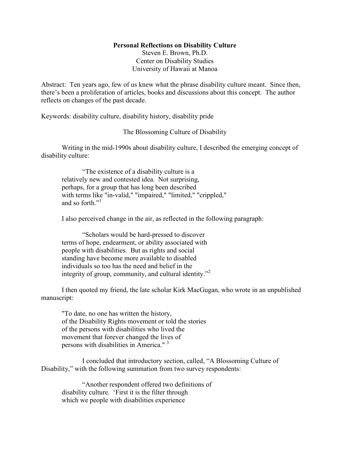### **Personal Reflections on Disability Culture**

Steven E. Brown, Ph.D. Center on Disability Studies University of Hawaii at Manoa

Abstract: Ten years ago, few of us knew what the phrase disability culture meant. Since then, there's been a proliferation of articles, books and discussions about this concept. The author reflects on changes of the past decade.

Keywords: disability culture, disability history, disability pride

# The Blossoming Culture of Disability

 Writing in the mid-1990s about disability culture, I described the emerging concept of disability culture:

"The existence of a disability culture is a relatively new and contested idea. Not surprising, perhaps, for a group that has long been described with terms like "in-valid," "impaired," "limited," "crippled," and so forth."<sup>1</sup>

I also perceived change in the air, as reflected in the following paragraph:

"Scholars would be hard-pressed to discover terms of hope, endearment, or ability associated with people with disabilities. But as rights and social standing have become more available to disabled individuals so too has the need and belief in the integrity of group, community, and cultural identity."<sup>2</sup>

 I then quoted my friend, the late scholar Kirk MacGugan, who wrote in an unpublished manuscript:

"To date, no one has written the history, of the Disability Rights movement or told the stories of the persons with disabilities who lived the movement that forever changed the lives of persons with disabilities in America."<sup>3</sup>

 I concluded that introductory section, called, "A Blossoming Culture of Disability," with the following summation from two survey respondents:

"Another respondent offered two definitions of disability culture. 'First it is the filter through which we people with disabilities experience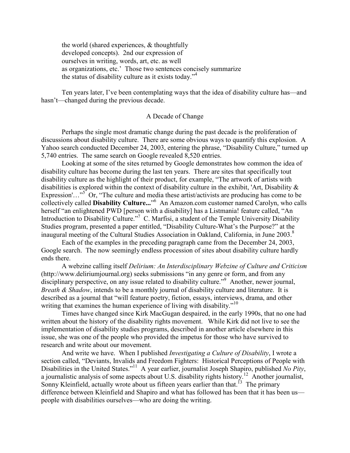the world (shared experiences, & thoughtfully developed concepts). 2nd our expression of ourselves in writing, words, art, etc. as well as organizations, etc.' Those two sentences concisely summarize the status of disability culture as it exists today."<sup>4</sup>

Ten years later, I've been contemplating ways that the idea of disability culture has—and hasn't—changed during the previous decade.

## A Decade of Change

Perhaps the single most dramatic change during the past decade is the proliferation of discussions about disability culture. There are some obvious ways to quantify this explosion. A Yahoo search conducted December 24, 2003, entering the phrase, "Disability Culture," turned up 5,740 entries. The same search on Google revealed 8,520 entries.

Looking at some of the sites returned by Google demonstrates how common the idea of disability culture has become during the last ten years. There are sites that specifically tout disability culture as the highlight of their product, for example, "The artwork of artists with disabilities is explored within the context of disability culture in the exhibit, 'Art, Disability & Expression'..."<sup>5</sup> Or, "The culture and media these artist/activists are producing has come to be collectively called **Disability Culture...**" 6 An Amazon.com customer named Carolyn, who calls herself "an enlightened PWD [person with a disability] has a Listmania! feature called, "An Introduction to Disability Culture."<sup>7</sup> C. Marfisi, a student of the Temple University Disability Studies program, presented a paper entitled, "Disability Culture-What's the Purpose?" at the inaugural meeting of the Cultural Studies Association in Oakland, California, in June 2003.<sup>8</sup>

Each of the examples in the preceding paragraph came from the December 24, 2003, Google search. The now seemingly endless procession of sites about disability culture hardly ends there.

A webzine calling itself *Delirium: An Interdisciplinary Webzine of Culture and Criticism*  (http://www.deliriumjournal.org) seeks submissions "in any genre or form, and from any disciplinary perspective, on any issue related to disability culture."<sup>9</sup> Another, newer journal, *Breath & Shadow*, intends to be a monthly journal of disability culture and literature. It is described as a journal that "will feature poetry, fiction, essays, interviews, drama, and other writing that examines the human experience of living with disability."<sup>10</sup>

Times have changed since Kirk MacGugan despaired, in the early 1990s, that no one had written about the history of the disability rights movement. While Kirk did not live to see the implementation of disability studies programs, described in another article elsewhere in this issue, she was one of the people who provided the impetus for those who have survived to research and write about our movement.

And write we have. When I published *Investigating a Culture of Disability*, I wrote a section called, "Deviants, Invalids and Freedom Fighters: Historical Perceptions of People with Disabilities in the United States."<sup>11</sup> A year earlier, journalist Joseph Shapiro, published *No Pity*, a journalistic analysis of some aspects about U.S. disability rights history.<sup>12</sup> Another journalist, Sonny Kleinfield, actually wrote about us fifteen years earlier than that.<sup>13</sup> The primary difference between Kleinfield and Shapiro and what has followed has been that it has been us people with disabilities ourselves—who are doing the writing.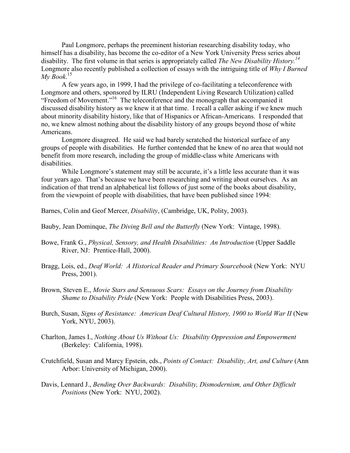Paul Longmore, perhaps the preeminent historian researching disability today, who himself has a disability, has become the co-editor of a New York University Press series about disability. The first volume in that series is appropriately called *The New Disability History.<sup>14</sup>*  Longmore also recently published a collection of essays with the intriguing title of *Why I Burned My Book*. 15

A few years ago, in 1999, I had the privilege of co-facilitating a teleconference with Longmore and others, sponsored by ILRU (Independent Living Research Utilization) called "Freedom of Movement."<sup>16</sup> The teleconference and the monograph that accompanied it discussed disability history as we knew it at that time. I recall a caller asking if we knew much about minority disability history, like that of Hispanics or African-Americans. I responded that no, we knew almost nothing about the disability history of any groups beyond those of white Americans.

Longmore disagreed. He said we had barely scratched the historical surface of any groups of people with disabilities. He further contended that he knew of no area that would not benefit from more research, including the group of middle-class white Americans with disabilities.

While Longmore's statement may still be accurate, it's a little less accurate than it was four years ago. That's because we have been researching and writing about ourselves. As an indication of that trend an alphabetical list follows of just some of the books about disability, from the viewpoint of people with disabilities, that have been published since 1994:

Barnes, Colin and Geof Mercer, *Disability*, (Cambridge, UK, Polity, 2003).

Bauby, Jean Dominque, *The Diving Bell and the Butterfly* (New York: Vintage, 1998).

Bowe, Frank G., *Physical, Sensory, and Health Disabilities: An Introduction* (Upper Saddle River, NJ: Prentice-Hall, 2000).

- Bragg, Lois, ed., *Deaf World: A Historical Reader and Primary Sourcebook* (New York: NYU Press, 2001).
- Brown, Steven E., *Movie Stars and Sensuous Scars: Essays on the Journey from Disability Shame to Disability Pride* (New York: People with Disabilities Press, 2003).
- Burch, Susan, *Signs of Resistance: American Deaf Cultural History, 1900 to World War II* (New York, NYU, 2003).
- Charlton, James I., *Nothing About Us Without Us: Disability Oppression and Empowerment*  (Berkeley: California, 1998).
- Crutchfield, Susan and Marcy Epstein, eds., *Points of Contact: Disability, Art, and Culture* (Ann Arbor: University of Michigan, 2000).
- Davis, Lennard J., *Bending Over Backwards: Disability, Dismodernism, and Other Difficult Positions* (New York: NYU, 2002).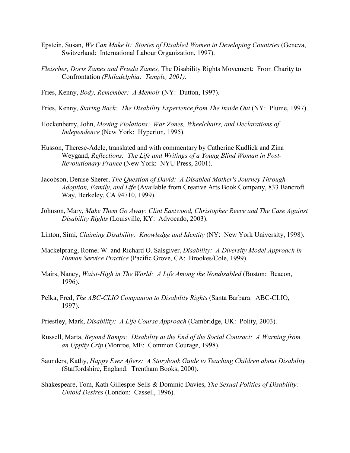- Epstein, Susan, *We Can Make It: Stories of Disabled Women in Developing Countries* (Geneva, Switzerland: International Labour Organization, 1997).
- *Fleischer, Doris Zames and Frieda Zames,* The Disability Rights Movement: From Charity to Confrontation *(Philadelphia: Temple, 2001).*
- Fries, Kenny, *Body, Remember: A Memoir* (NY: Dutton, 1997).
- Fries, Kenny, *Staring Back: The Disability Experience from The Inside Out* (NY: Plume, 1997).
- Hockenberry, John, *Moving Violations: War Zones, Wheelchairs, and Declarations of Independence* (New York: Hyperion, 1995).
- Husson, Therese-Adele, translated and with commentary by Catherine Kudlick and Zina Weygand, *Reflections: The Life and Writings of a Young Blind Woman in Post-Revolutionary France* (New York: NYU Press, 2001).
- Jacobson, Denise Sherer, *The Question of David: A Disabled Mother's Journey Through Adoption, Family, and Life* (Available from Creative Arts Book Company, 833 Bancroft Way, Berkeley, CA 94710, 1999).
- Johnson, Mary, *Make Them Go Away: Clint Eastwood, Christopher Reeve and The Case Against Disability Rights* (Louisville, KY: Advocado, 2003).
- Linton, Simi, *Claiming Disability: Knowledge and Identity* (NY: New York University, 1998).
- Mackelprang, Romel W. and Richard O. Salsgiver, *Disability: A Diversity Model Approach in Human Service Practice* (Pacific Grove, CA: Brookes/Cole, 1999).
- Mairs, Nancy, *Waist-High in The World: A Life Among the Nondisabled* (Boston: Beacon, 1996).
- Pelka, Fred, *The ABC-CLIO Companion to Disability Rights* (Santa Barbara: ABC-CLIO, 1997).
- Priestley, Mark, *Disability: A Life Course Approach* (Cambridge, UK: Polity, 2003).
- Russell, Marta, *Beyond Ramps: Disability at the End of the Social Contract: A Warning from an Uppity Crip* (Monroe, ME: Common Courage, 1998).
- Saunders, Kathy, *Happy Ever Afters: A Storybook Guide to Teaching Children about Disability* (Staffordshire, England: Trentham Books, 2000).
- Shakespeare, Tom, Kath Gillespie-Sells & Dominic Davies, *The Sexual Politics of Disability: Untold Desires* (London: Cassell, 1996).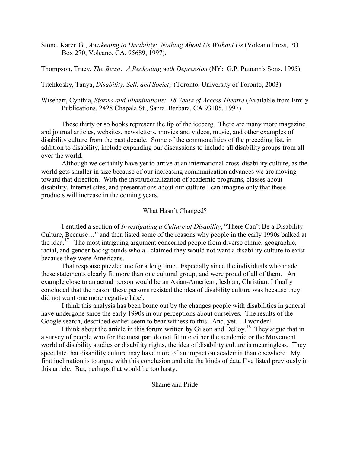Stone, Karen G., *Awakening to Disability: Nothing About Us Without Us* (Volcano Press, PO Box 270, Volcano, CA, 95689, 1997).

Thompson, Tracy, *The Beast: A Reckoning with Depression* (NY: G.P. Putnam's Sons, 1995).

Titchkosky, Tanya, *Disability, Self, and Society* (Toronto, University of Toronto, 2003).

Wisehart, Cynthia, *Storms and Illuminations: 18 Years of Access Theatre* (Available from Emily Publications, 2428 Chapala St., Santa Barbara, CA 93105, 1997).

These thirty or so books represent the tip of the iceberg. There are many more magazine and journal articles, websites, newsletters, movies and videos, music, and other examples of disability culture from the past decade. Some of the commonalities of the preceding list, in addition to disability, include expanding our discussions to include all disability groups from all over the world.

Although we certainly have yet to arrive at an international cross-disability culture, as the world gets smaller in size because of our increasing communication advances we are moving toward that direction. With the institutionalization of academic programs, classes about disability, Internet sites, and presentations about our culture I can imagine only that these products will increase in the coming years.

## What Hasn't Changed?

 I entitled a section of *Investigating a Culture of Disability*, "There Can't Be a Disability Culture, Because…" and then listed some of the reasons why people in the early 1990s balked at the idea.<sup>17</sup> The most intriguing argument concerned people from diverse ethnic, geographic, racial, and gender backgrounds who all claimed they would not want a disability culture to exist because they were Americans.

That response puzzled me for a long time. Especially since the individuals who made these statements clearly fit more than one cultural group, and were proud of all of them. An example close to an actual person would be an Asian-American, lesbian, Christian. I finally concluded that the reason these persons resisted the idea of disability culture was because they did not want one more negative label.

I think this analysis has been borne out by the changes people with disabilities in general have undergone since the early 1990s in our perceptions about ourselves. The results of the Google search, described earlier seem to bear witness to this. And, yet… I wonder?

I think about the article in this forum written by Gilson and DePoy.<sup>18</sup> They argue that in a survey of people who for the most part do not fit into either the academic or the Movement world of disability studies or disability rights, the idea of disability culture is meaningless. They speculate that disability culture may have more of an impact on academia than elsewhere. My first inclination is to argue with this conclusion and cite the kinds of data I've listed previously in this article. But, perhaps that would be too hasty.

Shame and Pride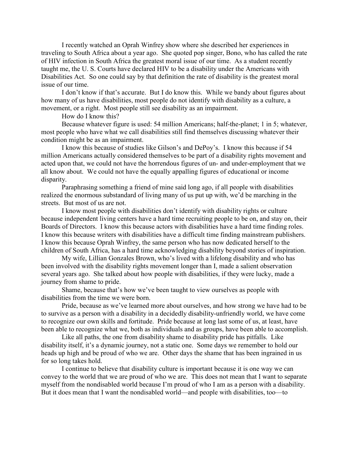I recently watched an Oprah Winfrey show where she described her experiences in traveling to South Africa about a year ago. She quoted pop singer, Bono, who has called the rate of HIV infection in South Africa the greatest moral issue of our time. As a student recently taught me, the U. S. Courts have declared HIV to be a disability under the Americans with Disabilities Act. So one could say by that definition the rate of disability is the greatest moral issue of our time.

 I don't know if that's accurate. But I do know this. While we bandy about figures about how many of us have disabilities, most people do not identify with disability as a culture, a movement, or a right. Most people still see disability as an impairment.

How do I know this?

Because whatever figure is used: 54 million Americans; half-the-planet; 1 in 5; whatever, most people who have what we call disabilities still find themselves discussing whatever their condition might be as an impairment.

I know this because of studies like Gilson's and DePoy's. I know this because if 54 million Americans actually considered themselves to be part of a disability rights movement and acted upon that, we could not have the horrendous figures of un- and under-employment that we all know about. We could not have the equally appalling figures of educational or income disparity.

Paraphrasing something a friend of mine said long ago, if all people with disabilities realized the enormous substandard of living many of us put up with, we'd be marching in the streets. But most of us are not.

I know most people with disabilities don't identify with disability rights or culture because independent living centers have a hard time recruiting people to be on, and stay on, their Boards of Directors. I know this because actors with disabilities have a hard time finding roles. I know this because writers with disabilities have a difficult time finding mainstream publishers. I know this because Oprah Winfrey, the same person who has now dedicated herself to the children of South Africa, has a hard time acknowledging disability beyond stories of inspiration.

My wife, Lillian Gonzales Brown, who's lived with a lifelong disability and who has been involved with the disability rights movement longer than I, made a salient observation several years ago. She talked about how people with disabilities, if they were lucky, made a journey from shame to pride.

Shame, because that's how we've been taught to view ourselves as people with disabilities from the time we were born.

Pride, because as we've learned more about ourselves, and how strong we have had to be to survive as a person with a disability in a decidedly disability-unfriendly world, we have come to recognize our own skills and fortitude. Pride because at long last some of us, at least, have been able to recognize what we, both as individuals and as groups, have been able to accomplish.

Like all paths, the one from disability shame to disability pride has pitfalls. Like disability itself, it's a dynamic journey, not a static one. Some days we remember to hold our heads up high and be proud of who we are. Other days the shame that has been ingrained in us for so long takes hold.

I continue to believe that disability culture is important because it is one way we can convey to the world that we are proud of who we are. This does not mean that I want to separate myself from the nondisabled world because I'm proud of who I am as a person with a disability. But it does mean that I want the nondisabled world—and people with disabilities, too—to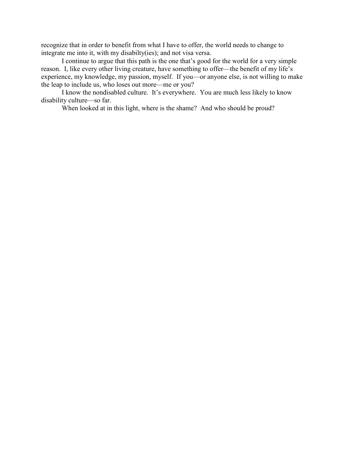recognize that in order to benefit from what I have to offer, the world needs to change to integrate me into it, with my disabilty(ies); and not visa versa.

I continue to argue that this path is the one that's good for the world for a very simple reason. I, like every other living creature, have something to offer—the benefit of my life's experience, my knowledge, my passion, myself. If you—or anyone else, is not willing to make the leap to include us, who loses out more—me or you?

I know the nondisabled culture. It's everywhere. You are much less likely to know disability culture—so far.

When looked at in this light, where is the shame? And who should be proud?